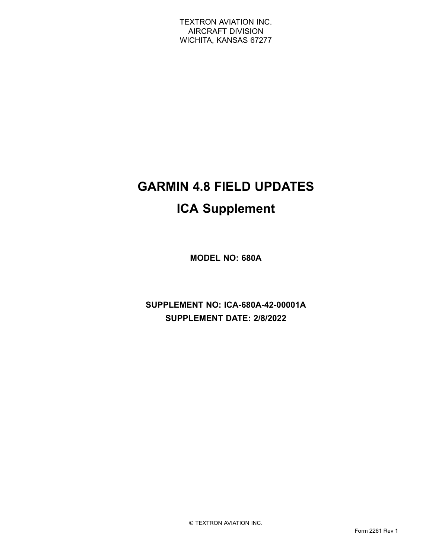# **GARMIN 4.8 FIELD UPDATES ICA Supplement**

**MODEL NO: 680A**

**SUPPLEMENT NO: ICA-680A-42-00001A SUPPLEMENT DATE: 2/8/2022**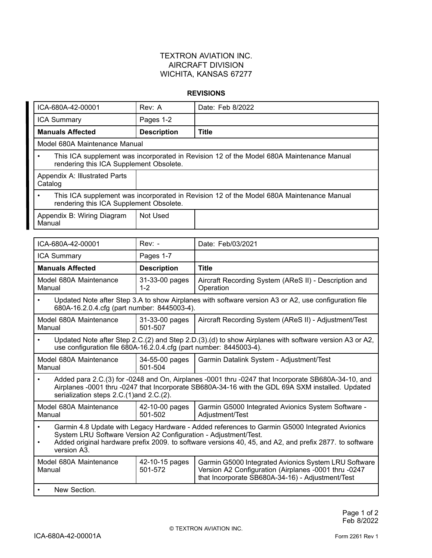#### **REVISIONS**

| ICA-680A-42-00001                                                                                                                                                                                                                                                                                                   | Rev: A                    | Date: Feb 8/2022                                                                                                                                                 |  |
|---------------------------------------------------------------------------------------------------------------------------------------------------------------------------------------------------------------------------------------------------------------------------------------------------------------------|---------------------------|------------------------------------------------------------------------------------------------------------------------------------------------------------------|--|
| <b>ICA Summary</b>                                                                                                                                                                                                                                                                                                  | Pages 1-2                 |                                                                                                                                                                  |  |
| <b>Manuals Affected</b>                                                                                                                                                                                                                                                                                             | <b>Description</b>        | <b>Title</b>                                                                                                                                                     |  |
| Model 680A Maintenance Manual                                                                                                                                                                                                                                                                                       |                           |                                                                                                                                                                  |  |
| This ICA supplement was incorporated in Revision 12 of the Model 680A Maintenance Manual<br>$\bullet$<br>rendering this ICA Supplement Obsolete.                                                                                                                                                                    |                           |                                                                                                                                                                  |  |
| Appendix A: Illustrated Parts<br>Catalog                                                                                                                                                                                                                                                                            |                           |                                                                                                                                                                  |  |
| This ICA supplement was incorporated in Revision 12 of the Model 680A Maintenance Manual<br>$\bullet$<br>rendering this ICA Supplement Obsolete.                                                                                                                                                                    |                           |                                                                                                                                                                  |  |
| Appendix B: Wiring Diagram<br>Manual                                                                                                                                                                                                                                                                                | Not Used                  |                                                                                                                                                                  |  |
|                                                                                                                                                                                                                                                                                                                     |                           |                                                                                                                                                                  |  |
| ICA-680A-42-00001                                                                                                                                                                                                                                                                                                   | $Rev: -$                  | Date: Feb/03/2021                                                                                                                                                |  |
| <b>ICA Summary</b>                                                                                                                                                                                                                                                                                                  | Pages 1-7                 |                                                                                                                                                                  |  |
| <b>Manuals Affected</b>                                                                                                                                                                                                                                                                                             | <b>Description</b>        | <b>Title</b>                                                                                                                                                     |  |
| Model 680A Maintenance<br>Manual                                                                                                                                                                                                                                                                                    | 31-33-00 pages<br>$1 - 2$ | Aircraft Recording System (AReS II) - Description and<br>Operation                                                                                               |  |
| Updated Note after Step 3.A to show Airplanes with software version A3 or A2, use configuration file<br>$\bullet$<br>680A-16.2.0.4.cfg (part number: 8445003-4).                                                                                                                                                    |                           |                                                                                                                                                                  |  |
| Model 680A Maintenance<br>Manual                                                                                                                                                                                                                                                                                    | 31-33-00 pages<br>501-507 | Aircraft Recording System (AReS II) - Adjustment/Test                                                                                                            |  |
| Updated Note after Step 2.C.(2) and Step 2.D.(3).(d) to show Airplanes with software version A3 or A2,<br>use configuration file 680A-16.2.0.4.cfg (part number: 8445003-4).                                                                                                                                        |                           |                                                                                                                                                                  |  |
| Model 680A Maintenance<br>Manual                                                                                                                                                                                                                                                                                    | 34-55-00 pages<br>501-504 | Garmin Datalink System - Adjustment/Test                                                                                                                         |  |
| Added para 2.C.(3) for -0248 and On, Airplanes -0001 thru -0247 that Incorporate SB680A-34-10, and<br>$\bullet$<br>Airplanes -0001 thru -0247 that Incorporate SB680A-34-16 with the GDL 69A SXM installed. Updated<br>serialization steps 2.C.(1)and 2.C.(2).                                                      |                           |                                                                                                                                                                  |  |
| Model 680A Maintenance<br>Manual                                                                                                                                                                                                                                                                                    | 42-10-00 pages<br>501-502 | Garmin G5000 Integrated Avionics System Software -<br>Adjustment/Test                                                                                            |  |
| Garmin 4.8 Update with Legacy Hardware - Added references to Garmin G5000 Integrated Avionics<br>$\bullet$<br>System LRU Software Version A2 Configuration - Adjustment/Test.<br>Added original hardware prefix 2009. to software versions 40, 45, and A2, and prefix 2877. to software<br>$\bullet$<br>version A3. |                           |                                                                                                                                                                  |  |
| Model 680A Maintenance<br>Manual                                                                                                                                                                                                                                                                                    | 42-10-15 pages<br>501-572 | Garmin G5000 Integrated Avionics System LRU Software<br>Version A2 Configuration (Airplanes -0001 thru -0247<br>that Incorporate SB680A-34-16) - Adjustment/Test |  |
| New Section.                                                                                                                                                                                                                                                                                                        |                           |                                                                                                                                                                  |  |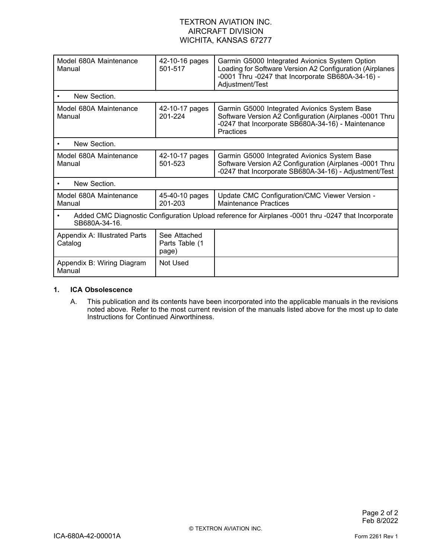| Model 680A Maintenance<br>Manual                                                                                     | 42-10-16 pages<br>501-517               | Garmin G5000 Integrated Avionics System Option<br>Loading for Software Version A2 Configuration (Airplanes<br>-0001 Thru -0247 that Incorporate SB680A-34-16) -<br>Adjustment/Test |  |
|----------------------------------------------------------------------------------------------------------------------|-----------------------------------------|------------------------------------------------------------------------------------------------------------------------------------------------------------------------------------|--|
| New Section.                                                                                                         |                                         |                                                                                                                                                                                    |  |
| Model 680A Maintenance<br>Manual                                                                                     | 42-10-17 pages<br>201-224               | Garmin G5000 Integrated Avionics System Base<br>Software Version A2 Configuration (Airplanes -0001 Thru<br>-0247 that Incorporate SB680A-34-16) - Maintenance<br>Practices         |  |
| New Section.                                                                                                         |                                         |                                                                                                                                                                                    |  |
| Model 680A Maintenance<br>Manual                                                                                     | 42-10-17 pages<br>501-523               | Garmin G5000 Integrated Avionics System Base<br>Software Version A2 Configuration (Airplanes -0001 Thru<br>-0247 that Incorporate SB680A-34-16) - Adjustment/Test                  |  |
| New Section.                                                                                                         |                                         |                                                                                                                                                                                    |  |
| Model 680A Maintenance<br>Manual                                                                                     | 45-40-10 pages<br>201-203               | Update CMC Configuration/CMC Viewer Version -<br><b>Maintenance Practices</b>                                                                                                      |  |
| Added CMC Diagnostic Configuration Upload reference for Airplanes -0001 thru -0247 that Incorporate<br>SB680A-34-16. |                                         |                                                                                                                                                                                    |  |
| Appendix A: Illustrated Parts<br>Catalog                                                                             | See Attached<br>Parts Table (1<br>page) |                                                                                                                                                                                    |  |
| Appendix B: Wiring Diagram<br>Manual                                                                                 | Not Used                                |                                                                                                                                                                                    |  |

#### **1. ICA Obsolescence**

A. This publication and its contents have been incorporated into the applicable manuals in the revisions noted above. Refer to the most current revision of the manuals listed above for the most up to date Instructions for Continued Airworthiness.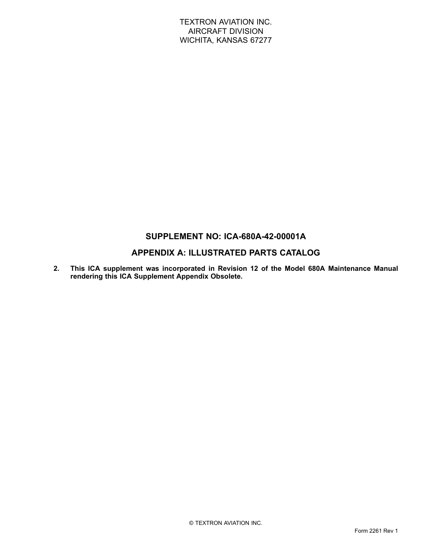### **SUPPLEMENT NO: ICA-680A-42-00001A**

### **APPENDIX A: ILLUSTRATED PARTS CATALOG**

**2. This ICA supplement was incorporated in Revision 12 of the Model 680A Maintenance Manual rendering this ICA Supplement Appendix Obsolete.**